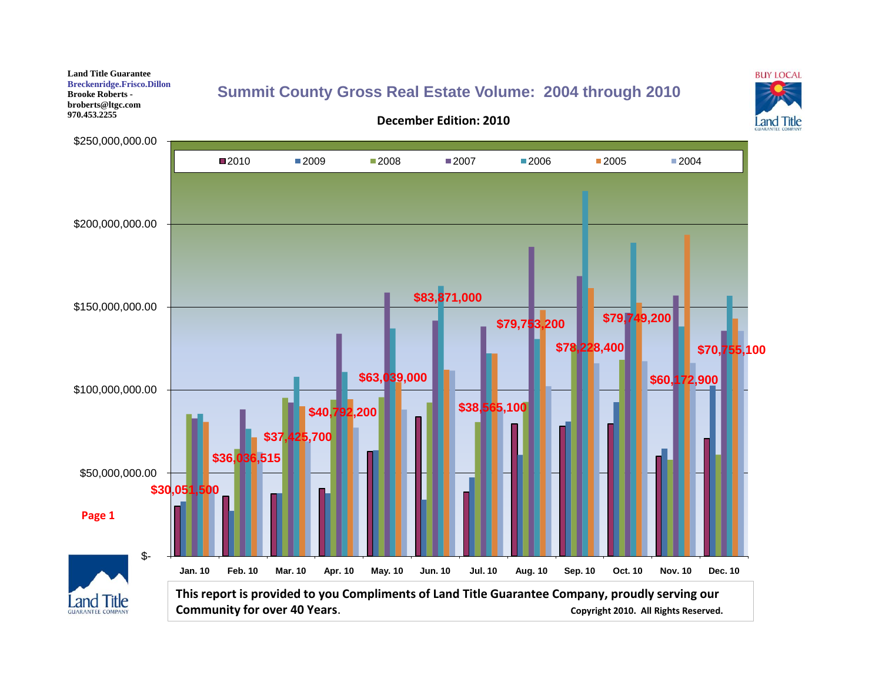**Land Title Guarantee Breckenridge.Frisco.Dillon Brooke Roberts broberts@ltgc.com 970.453.2255**

### **[Summit County Gross Real Estate Volume:](http://www.luckymountainhome.com/market_data/) 2004 through 2010**

**December Edition: 2010**



\$250,000,000.00 2010 2009 2008 2007 2006 2005 2004 \$200,000,000.00 **\$83,871,000**  \$150,000,000.00 **\$79,749,200 \$79,753,200 \$78,228,400 \$70,755,100 \$63,039,000 \$60,172,900**  \$100,000,000.00 **\$38,565,100 \$40,792,200 \$37,425,700 \$36,036,515**  \$50,000,000.00 **\$30,051,500 Page 1**\$- **Jan. 10 Feb. 10 Mar. 10 Apr. 10 May. 10 Jun. 10 Jul. 10 Aug. 10 Sep. 10 Oct. 10 Nov. 10 Dec. 10 This report is provided to you Compliments of Land Title Guarantee Company, proudly serving our Land Title Community for over 40 Years. Community for over 40 Years. Copyright 2010.** All Rights Reserved.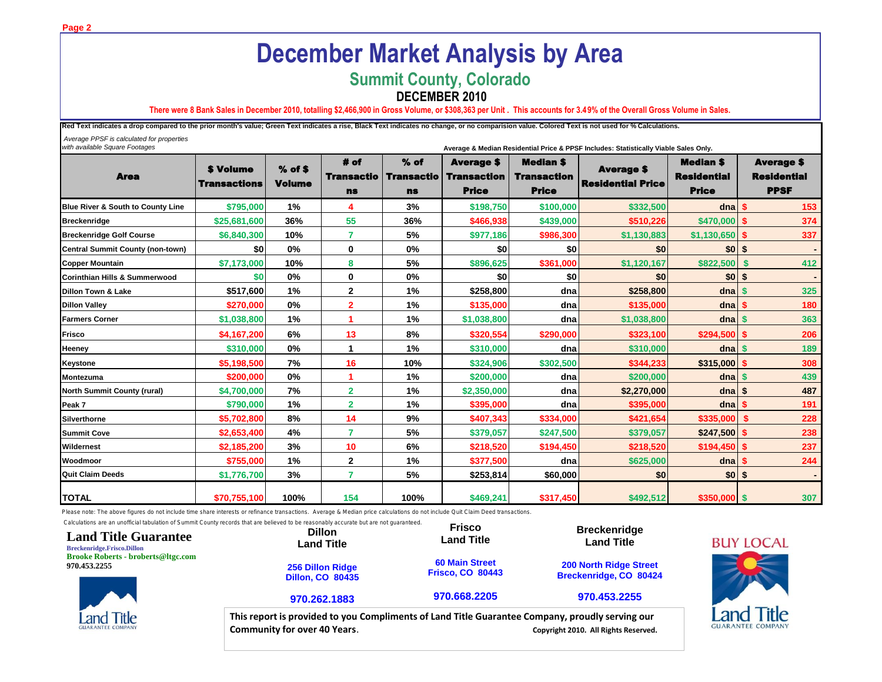# **December Market Analysis by Area**

### **Summit County, Colorado**

### **DECEMBER 2010**

**There were 8 Bank Sales in December 2010, totalling \$2,466,900 in Gross Volume, or \$308,363 per Unit . This accounts for 3.49% of the Overall Gross Volume in Sales.**

Red Text indicates a drop compared to the prior month's value; Green Text indicates a rise, Black Text indicates no change, or no comparision value. Colored Text is not used for % Calculations.

 *Average PPSF is calculated for properties with available Square Footages* **Average & Median Residential Price & PPSF Includes: Statistically Viable Sales Only.**

*Compliments of:*

Area \$ Volume Transactions % of \$ Volume # of Transactio ns % of Transactio ns Average \$ **Transaction** Price Median \$ **Transaction** Price Average \$ Residential Price Median \$ Residential Price Average \$ Residential PPSF **Blue River & South to County Line \$795,000 1% 4 3% \$198,750 \$100,000 \$332,500 dna \$ 153 [Breckenridge](http://www.luckymountainhome.com/breckenridge_real_estate/) \$25,681,600 36% 55 36% \$466,938 \$439,000 \$510,226 \$470,000 \$ 374 Breckenridge Golf Course \$6,840,300 10% 7 5% \$977,186 \$986,300 \$1,130,883 \$1,130,650 \$ 337 Central Summit County (non-town) \$0 0% 0 0% \$0 \$0 \$0 \$0 \$ - Copper Mountain \$7,173,000 10% 8 5% \$896,625 \$361,000 \$1,120,167 \$822,500 \$ 412 Corinthian Hills & Summerwood \$0 0% 0 0% \$0 \$0 \$0 \$0 \$ - Dillon Town & Lake \$517,600 1% 2 1% \$258,800 dna \$258,800 dna \$ 325 Dillon Valley \$270,000 0% 2 1% \$135,000 dna \$135,000 dna \$ 180 Farmers Corner \$1,038,800 1% 1 1% \$1,038,800 dna \$1,038,800 dna \$ 363 Frisco \$4,167,200 6% 13 8% \$320,554 \$290,000 \$323,100 \$294,500 \$ 206 Heeney \$310,000 0% 1 1% \$310,000 dna \$310,000 dna \$ 189 Keystone \$5,198,500 7% 16 10% \$324,906 \$302,500 \$344,233 \$315,000 \$ 308 Montezuma \$200,000 0% 1 1% \$200,000 dna \$200,000 dna \$ 439 North Summit County (rural) \$4,700,000 7% 2 1% \$2,350,000 dna \$2,270,000 dna \$ 487 Peak 7 \$790,000 1% 2 1% \$395,000 dna \$395,000 dna \$ 191 [Silverthorne](http://www.luckymountainhome.com/silverthorne_real_estate/) \$5,702,800 8% 14 9% \$407,343 \$334,000 \$421,654 \$335,000 \$ 228 Summit Cove \$2,653,400 4% 7 5% \$379,057 \$247,500 \$379,057 \$247,500 \$ 238 Wildernest \$2,185,200 3% 10 6% \$218,520 \$194,450 \$218,520 \$194,450 \$ 237 Woodmoor \$755,000 1% 2 1% \$377,500 dna \$625,000 dna \$ 244 Quit Claim Deeds \$1,776,700 3% 7 5% \$253,814 \$60,000 \$0 \$0 \$ - TOTAL \$70,755,100 100% 154 100% \$469,241 \$317,450 \$492,512 \$350,000 \$ 307**

Please note: The above figures do not include time share interests or refinance transactions. Average & Median price calculations do not include Quit Claim Deed transactions

Calculations are an unofficial tabulation of Summit County records that are believed to be reasonably accurate but are not guaranteed.

| <b>Land Title Guarantee</b><br><b>Breckenridge.Frisco.Dillon</b> | Calculations are an unomicial tabulation or Summit County records that are believed to be reasonably accurate but are not quaranteed.<br><b>Dillon</b><br><b>Land Title</b> | <b>Frisco</b><br><b>Land Title</b>               | <b>Breckenridge</b><br><b>Land Title</b>                | <b>BU)</b>          |
|------------------------------------------------------------------|-----------------------------------------------------------------------------------------------------------------------------------------------------------------------------|--------------------------------------------------|---------------------------------------------------------|---------------------|
| <b>Brooke Roberts - broberts@ltgc.com</b><br>970.453.2255        | <b>256 Dillon Ridge</b><br><b>Dillon, CO 80435</b>                                                                                                                          | <b>60 Main Street</b><br><b>Frisco, CO 80443</b> | <b>200 North Ridge Street</b><br>Breckenridge, CO 80424 |                     |
|                                                                  | 970.262.1883                                                                                                                                                                | 970.668.2205                                     | 970.453.2255                                            |                     |
| <b>Land Title</b><br><b>GUARANTEE COMPANY</b>                    | This report is provided to you Compliments of Land Title Guarantee Company, proudly serving our<br><b>Community for over 40 Years.</b>                                      |                                                  | Copyright 2010. All Rights Reserved.                    | Lar<br><b>GUARA</b> |



**Page 2**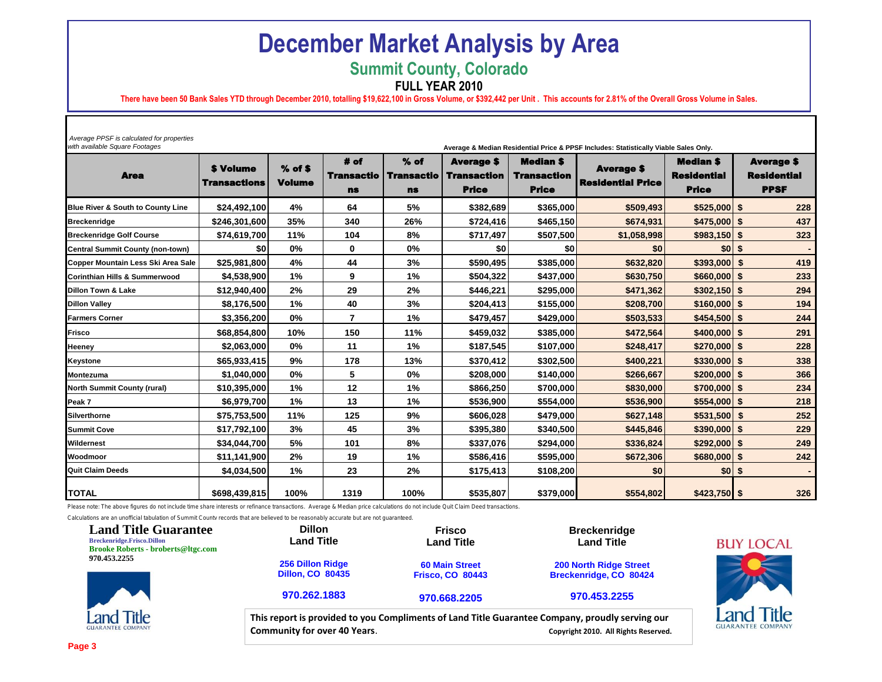## **December Market Analysis by Area**

**Summit County, Colorado**

**FULL YEAR 2010**

**There have been 50 Bank Sales YTD through December 2010, totalling \$19,622,100 in Gross Volume, or \$392,442 per Unit . This accounts for 2.81% of the Overall Gross Volume in Sales.**

| Average PPSF is calculated for properties<br>with available Square Footages<br>Average & Median Residential Price & PPSF Includes: Statistically Viable Sales Only. |                                         |                            |                                        |                                          |                                                         |                                                        |                                               |                                                        |                                                        |  |  |
|---------------------------------------------------------------------------------------------------------------------------------------------------------------------|-----------------------------------------|----------------------------|----------------------------------------|------------------------------------------|---------------------------------------------------------|--------------------------------------------------------|-----------------------------------------------|--------------------------------------------------------|--------------------------------------------------------|--|--|
| <b>Area</b>                                                                                                                                                         | <b>\$ Volume</b><br><b>Transactions</b> | $%$ of \$<br><b>Volume</b> | # of<br><b>Transactio</b><br><b>ns</b> | $%$ of<br><b>Transactio</b><br><b>ns</b> | <b>Average \$</b><br><b>Transaction</b><br><b>Price</b> | <b>Median \$</b><br><b>Transaction</b><br><b>Price</b> | <b>Average \$</b><br><b>Residential Price</b> | <b>Median \$</b><br><b>Residential</b><br><b>Price</b> | <b>Average \$</b><br><b>Residential</b><br><b>PPSF</b> |  |  |
| <b>Blue River &amp; South to County Line</b>                                                                                                                        | \$24,492,100                            | 4%                         | 64                                     | 5%                                       | \$382,689                                               | \$365.000                                              | \$509,493                                     | $$525.000$ \$                                          | 228                                                    |  |  |
| <b>Breckenridge</b>                                                                                                                                                 | \$246,301,600                           | 35%                        | 340                                    | 26%                                      | \$724,416                                               | \$465,150                                              | \$674,931                                     | $$475,000$ \$                                          | 437                                                    |  |  |
| <b>Breckenridge Golf Course</b>                                                                                                                                     | \$74,619,700                            | 11%                        | 104                                    | 8%                                       | \$717,497                                               | \$507,500                                              | \$1,058,998                                   | $$983,150$ \$                                          | 323                                                    |  |  |
| Central Summit County (non-town)                                                                                                                                    | \$0                                     | 0%                         | 0                                      | 0%                                       | \$0                                                     | \$0                                                    | \$0                                           | \$0 <sub>1</sub>                                       | \$                                                     |  |  |
| Copper Mountain Less Ski Area Sale                                                                                                                                  | \$25,981,800                            | 4%                         | 44                                     | 3%                                       | \$590,495                                               | \$385,000                                              | \$632,820                                     | \$393,000                                              | \$<br>419                                              |  |  |
| <b>Corinthian Hills &amp; Summerwood</b>                                                                                                                            | \$4,538,900                             | 1%                         | 9                                      | 1%                                       | \$504,322                                               | \$437,000                                              | \$630,750                                     | $$660,000$ \$                                          | 233                                                    |  |  |
| <b>Dillon Town &amp; Lake</b>                                                                                                                                       | \$12.940.400                            | 2%                         | 29                                     | 2%                                       | \$446.221                                               | \$295,000                                              | \$471,362                                     | $$302,150$ \$                                          | 294                                                    |  |  |
| <b>Dillon Valley</b>                                                                                                                                                | \$8,176,500                             | 1%                         | 40                                     | 3%                                       | \$204,413                                               | \$155,000                                              | \$208,700                                     | \$160,000                                              | 194<br>\$                                              |  |  |
| <b>Farmers Corner</b>                                                                                                                                               | \$3,356,200                             | 0%                         | $\overline{\phantom{a}}$               | 1%                                       | \$479,457                                               | \$429,000                                              | \$503,533                                     | $$454,500$ \$                                          | 244                                                    |  |  |
| <b>Frisco</b>                                                                                                                                                       | \$68,854,800                            | 10%                        | 150                                    | 11%                                      | \$459,032                                               | \$385,000                                              | \$472,564                                     | $$400,000$ \$                                          | 291                                                    |  |  |
| <b>Heeney</b>                                                                                                                                                       | \$2,063,000                             | 0%                         | 11                                     | 1%                                       | \$187,545                                               | \$107,000                                              | \$248,417                                     | $$270,000$ \$                                          | 228                                                    |  |  |
| <b>Keystone</b>                                                                                                                                                     | \$65,933,415                            | 9%                         | 178                                    | 13%                                      | \$370,412                                               | \$302,500                                              | \$400.221                                     | $$330,000$ \$                                          | 338                                                    |  |  |
| Montezuma                                                                                                                                                           | \$1,040,000                             | $0\%$                      | 5                                      | 0%                                       | \$208,000                                               | \$140,000                                              | \$266,667                                     | $$200,000$ \$                                          | 366                                                    |  |  |
| <b>North Summit County (rural)</b>                                                                                                                                  | \$10,395,000                            | 1%                         | 12                                     | 1%                                       | \$866,250                                               | \$700,000                                              | \$830,000                                     | \$700,000                                              | 234<br>-\$                                             |  |  |
| Peak 7                                                                                                                                                              | \$6,979,700                             | 1%                         | 13                                     | 1%                                       | \$536,900                                               | \$554,000                                              | \$536,900                                     | $$554,000$ \$                                          | 218                                                    |  |  |
| Silverthorne                                                                                                                                                        | \$75,753,500                            | 11%                        | 125                                    | 9%                                       | \$606,028                                               | \$479,000                                              | \$627,148                                     | $$531,500$ \$                                          | 252                                                    |  |  |
| <b>Summit Cove</b>                                                                                                                                                  | \$17,792,100                            | 3%                         | 45                                     | 3%                                       | \$395,380                                               | \$340,500                                              | \$445.846                                     | $$390,000$ \$                                          | 229                                                    |  |  |
| Wildernest                                                                                                                                                          | \$34,044,700                            | 5%                         | 101                                    | 8%                                       | \$337,076                                               | \$294,000                                              | \$336,824                                     | \$292,000                                              | 249<br>\$                                              |  |  |
| Woodmoor                                                                                                                                                            | \$11,141,900                            | 2%                         | 19                                     | 1%                                       | \$586,416                                               | \$595.000                                              | \$672,306                                     | \$680,000                                              | \$<br>242                                              |  |  |
| <b>Quit Claim Deeds</b>                                                                                                                                             | \$4,034,500                             | 1%                         | 23                                     | 2%                                       | \$175,413                                               | \$108,200                                              | \$0                                           | \$0 <sub>1</sub>                                       | \$                                                     |  |  |
| <b>TOTAL</b>                                                                                                                                                        | \$698,439,815                           | 100%                       | 1319                                   | 100%                                     | \$535,807                                               | \$379,000                                              | \$554,802                                     | $$423,750$ \$                                          | 326                                                    |  |  |

Please note: The above figures do not include time share interests or refinance transactions. Average & Median price calculations do not include Quit Claim Deed transactions.

Calculations are an unofficial tabulation of Summit County records that are believed to be reasonably accurate but are not guaranteed.

| <b>Land Title Guarantee</b><br><b>Breckenridge.Frisco.Dillon</b><br><b>Brooke Roberts - broberts@ltgc.com</b> | <b>Dillon</b><br><b>Land Title</b>                 | <b>Frisco</b><br><b>Land Title</b>               | <b>Breckenridge</b><br><b>Land Title</b>                                                                                                | Bl  |
|---------------------------------------------------------------------------------------------------------------|----------------------------------------------------|--------------------------------------------------|-----------------------------------------------------------------------------------------------------------------------------------------|-----|
| 970.453.2255                                                                                                  | <b>256 Dillon Ridge</b><br><b>Dillon, CO 80435</b> | <b>60 Main Street</b><br><b>Frisco, CO 80443</b> | <b>200 North Ridge Street</b><br>Breckenridge, CO 80424                                                                                 |     |
|                                                                                                               | 970.262.1883                                       | 970.668.2205                                     | 970.453.2255                                                                                                                            |     |
| Title<br><b>GUARANTEE COMPANY</b>                                                                             | <b>Community for over 40 Years.</b>                |                                                  | This report is provided to you Compliments of Land Title Guarantee Company, proudly serving our<br>Copyright 2010. All Rights Reserved. | GUA |

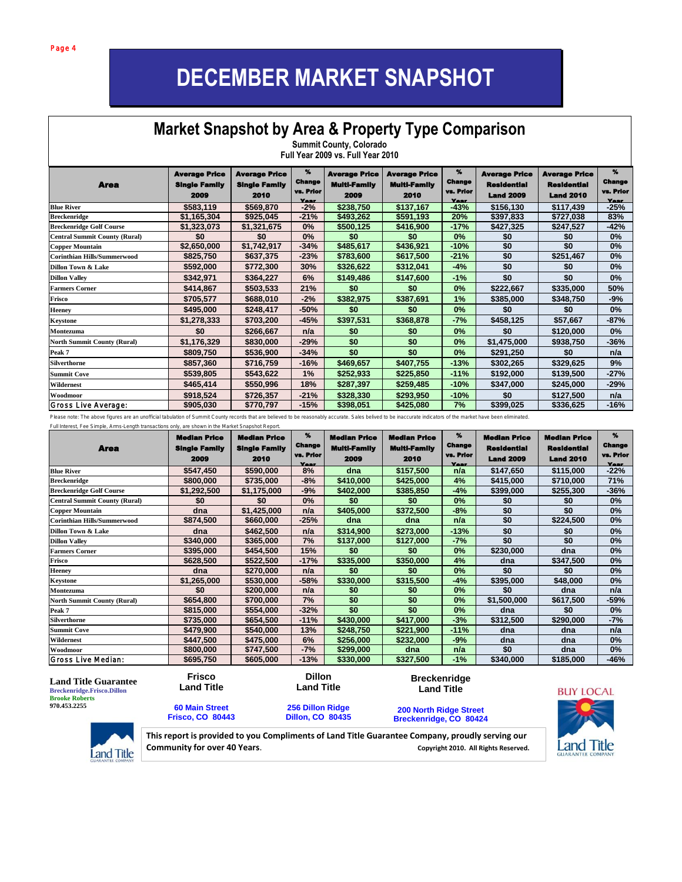## **DECEMBER MARKET SNAPSHOT**

#### **Ket Snapshot by Area &** I **Pitkin County, County, County, County, County, County, County, County, County, County, County, County, County, Market Snapshot by Area & Property Type Comparison Summit County, Colorado**

|                                      | Full Year 2009 vs. Full Year 2010                    |                                                      |                                         |                                                     |                                                     |                                  |                                                                |                                                         |                                                                |  |  |
|--------------------------------------|------------------------------------------------------|------------------------------------------------------|-----------------------------------------|-----------------------------------------------------|-----------------------------------------------------|----------------------------------|----------------------------------------------------------------|---------------------------------------------------------|----------------------------------------------------------------|--|--|
| <b>Area</b>                          | <b>Average Price</b><br><b>Single Family</b><br>2009 | <b>Average Price</b><br><b>Single Family</b><br>2010 | %<br><b>Change</b><br>vs. Prior<br>Year | <b>Average Price</b><br><b>Multi-Family</b><br>2009 | <b>Average Price</b><br><b>Multi-Family</b><br>2010 | %<br>Change<br>vs. Prior<br>Year | <b>Average Price</b><br><b>Residential</b><br><b>Land 2009</b> | Average Price<br><b>Residential</b><br><b>Land 2010</b> | $\boldsymbol{\%}$<br><b>Change</b><br>vs. Prior<br><b>Year</b> |  |  |
| <b>Blue River</b>                    | \$583,119                                            | \$569,870                                            | $-2%$                                   | \$238,750                                           | \$137,167                                           | $-43%$                           | \$156,130                                                      | \$117,439                                               | $-25%$                                                         |  |  |
| <b>Breckenridge</b>                  | \$1,165,304                                          | \$925,045                                            | $-21%$                                  | \$493,262                                           | \$591,193                                           | 20%                              | \$397,833                                                      | \$727,038                                               | 83%                                                            |  |  |
| <b>Breckenridge Golf Course</b>      | \$1,323,073                                          | \$1,321,675                                          | 0%                                      | \$500,125                                           | \$416,900                                           | $-17%$                           | \$427,325                                                      | \$247,527                                               | $-42%$                                                         |  |  |
| <b>Central Summit County (Rural)</b> | \$0                                                  | \$0                                                  | 0%                                      | \$0                                                 | \$0                                                 | 0%                               | \$0                                                            | \$0                                                     | $0\%$                                                          |  |  |
| <b>Copper Mountain</b>               | \$2,650,000                                          | \$1,742,917                                          | $-34%$                                  | \$485,617                                           | \$436,921                                           | $-10%$                           | \$0                                                            | \$0                                                     | 0%                                                             |  |  |
| <b>Corinthian Hills/Summerwood</b>   | \$825,750                                            | \$637,375                                            | $-23%$                                  | \$783,600                                           | \$617,500                                           | $-21%$                           | \$0                                                            | \$251,467                                               | 0%                                                             |  |  |
| Dillon Town & Lake                   | \$592,000                                            | \$772,300                                            | 30%                                     | \$326,622                                           | \$312,041                                           | $-4%$                            | \$0                                                            | \$0                                                     | 0%                                                             |  |  |
| <b>Dillon Valley</b>                 | \$342,971                                            | \$364,227                                            | 6%                                      | \$149,486                                           | \$147,600                                           | $-1%$                            | \$0                                                            | \$0                                                     | 0%                                                             |  |  |
| <b>Farmers Corner</b>                | \$414,867                                            | \$503,533                                            | 21%                                     | \$0                                                 | \$0                                                 | $0\%$                            | \$222,667                                                      | \$335,000                                               | 50%                                                            |  |  |
| Frisco                               | \$705,577                                            | \$688,010                                            | $-2%$                                   | \$382,975                                           | \$387,691                                           | 1%                               | \$385,000                                                      | \$348,750                                               | -9%                                                            |  |  |
| <b>Heeney</b>                        | \$495,000                                            | \$248,417                                            | $-50%$                                  | \$0                                                 | \$0                                                 | 0%                               | \$0                                                            | \$0                                                     | $0\%$                                                          |  |  |
| <b>Keystone</b>                      | \$1,278,333                                          | \$703,200                                            | -45%                                    | \$397,531                                           | \$368,878                                           | -7%                              | \$458,125                                                      | \$57,667                                                | -87%                                                           |  |  |
| Montezuma                            | \$0                                                  | \$266,667                                            | n/a                                     | \$0                                                 | \$0                                                 | 0%                               | \$0                                                            | \$120,000                                               | $0\%$                                                          |  |  |
| <b>North Summit County (Rural)</b>   | \$1,176,329                                          | \$830,000                                            | $-29%$                                  | \$0                                                 | \$0                                                 | 0%                               | \$1,475,000                                                    | \$938,750                                               | $-36%$                                                         |  |  |
| Peak 7                               | \$809,750                                            | \$536,900                                            | $-34%$                                  | \$0                                                 | \$0                                                 | 0%                               | \$291,250                                                      | \$0                                                     | n/a                                                            |  |  |
| <b>Silverthorne</b>                  | \$857,360                                            | \$716,759                                            | $-16%$                                  | \$469,657                                           | \$407,755                                           | $-13%$                           | \$302,265                                                      | \$329,625                                               | 9%                                                             |  |  |
| <b>Summit Cove</b>                   | \$539,805                                            | \$543,622                                            | 1%                                      | \$252,933                                           | \$225,850                                           | $-11%$                           | \$192,000                                                      | \$139,500                                               | $-27%$                                                         |  |  |
| Wildernest                           | \$465,414                                            | \$550,996                                            | 18%                                     | \$287,397                                           | \$259,485                                           | $-10%$                           | \$347,000                                                      | \$245,000                                               | $-29%$                                                         |  |  |
| Woodmoor                             | \$918,524                                            | \$726,357                                            | $-21%$                                  | \$328,330                                           | \$293,950                                           | $-10%$                           | \$0                                                            | \$127,500                                               | n/a                                                            |  |  |
| Gross Live Average:                  | \$905,030                                            | \$770,797                                            | $-15%$                                  | \$398,051                                           | \$425,080                                           | 7%                               | \$399,025                                                      | \$336,625                                               | $-16%$                                                         |  |  |

Please note: The above figures are an unofficial tabulation of Summit County records that are believed to be reasonably accurate. Sales belived to be inaccurate indicators of the market have been eliminated.

| Full Interest, Fee Simple, Arms-Length transactions only, are shown in the Market Snapshot Report.<br><b>Area</b> | <b>Median Price</b><br><b>Single Family</b><br>2009 | <b>Median Price</b><br><b>Single Family</b><br>2010 | %<br>Change<br>vs. Prior<br><b>Year</b> | <b>Median Price</b><br><b>Multi-Family</b><br>2009 | <b>Median Price</b><br><b>Multi-Family</b><br>2010 | %<br><b>Change</b><br>vs. Prior<br><b>Year</b> | Median Price<br><b>Residential</b><br><b>Land 2009</b> | <b>Median Price</b><br><b>Residential</b><br><b>Land 2010</b> | %<br><b>Change</b><br>vs. Prior<br><b>Vesr</b> |
|-------------------------------------------------------------------------------------------------------------------|-----------------------------------------------------|-----------------------------------------------------|-----------------------------------------|----------------------------------------------------|----------------------------------------------------|------------------------------------------------|--------------------------------------------------------|---------------------------------------------------------------|------------------------------------------------|
| <b>Blue River</b>                                                                                                 | \$547,450                                           | \$590.000                                           | 8%                                      | dna                                                | \$157,500                                          | n/a                                            | \$147,650                                              | \$115,000                                                     | $-22%$                                         |
| <b>Breckenridge</b>                                                                                               | \$800,000                                           | \$735,000                                           | $-8%$                                   | \$410,000                                          | \$425,000                                          | 4%                                             | \$415,000                                              | \$710,000                                                     | 71%                                            |
| <b>Breckenridge Golf Course</b>                                                                                   | \$1,292,500                                         | \$1,175,000                                         | $-9%$                                   | \$402,000                                          | \$385,850                                          | $-4%$                                          | \$399,000                                              | \$255,300                                                     | $-36%$                                         |
| <b>Central Summit County (Rural)</b>                                                                              | \$0                                                 | \$0                                                 | 0%                                      | \$0                                                | \$0                                                | 0%                                             | \$0                                                    | \$0                                                           | 0%                                             |
| <b>Copper Mountain</b>                                                                                            | dna                                                 | \$1,425,000                                         | n/a                                     | \$405,000                                          | \$372,500                                          | $-8%$                                          | \$0                                                    | \$0                                                           | 0%                                             |
| <b>Corinthian Hills/Summerwood</b>                                                                                | \$874,500                                           | \$660,000                                           | $-25%$                                  | dna                                                | dna                                                | n/a                                            | \$0                                                    | \$224,500                                                     | 0%                                             |
| Dillon Town & Lake                                                                                                | dna                                                 | \$462,500                                           | n/a                                     | \$314,900                                          | \$273,000                                          | $-13%$                                         | \$0                                                    | \$0                                                           | 0%                                             |
| <b>Dillon Valley</b>                                                                                              | \$340,000                                           | \$365,000                                           | 7%                                      | \$137,000                                          | \$127,000                                          | $-7%$                                          | \$0                                                    | \$0                                                           | 0%                                             |
| <b>Farmers Corner</b>                                                                                             | \$395,000                                           | \$454,500                                           | 15%                                     | \$0                                                | \$0                                                | 0%                                             | \$230,000                                              | dna                                                           | 0%                                             |
| Frisco                                                                                                            | \$628,500                                           | \$522,500                                           | $-17%$                                  | \$335,000                                          | \$350,000                                          | 4%                                             | dna                                                    | \$347,500                                                     | 0%                                             |
| <b>Heeney</b>                                                                                                     | dna                                                 | \$270,000                                           | n/a                                     | \$0                                                | \$0                                                | 0%                                             | \$0                                                    | \$0                                                           | 0%                                             |
| <b>Keystone</b>                                                                                                   | \$1,265,000                                         | \$530,000                                           | $-58%$                                  | \$330,000                                          | \$315,500                                          | $-4%$                                          | \$395,000                                              | \$48,000                                                      | 0%                                             |
| Montezuma                                                                                                         | \$0                                                 | \$200.000                                           | n/a                                     | \$0                                                | \$0                                                | 0%                                             | \$0                                                    | dna                                                           | n/a                                            |
| <b>North Summit County (Rural)</b>                                                                                | \$654,800                                           | \$700,000                                           | 7%                                      | \$0                                                | \$0                                                | 0%                                             | \$1,500,000                                            | \$617,500                                                     | -59%                                           |
| Peak 7                                                                                                            | \$815,000                                           | \$554,000                                           | $-32%$                                  | \$0                                                | \$0                                                | 0%                                             | dna                                                    | \$0                                                           | 0%                                             |
| <b>Silverthorne</b>                                                                                               | \$735,000                                           | \$654,500                                           | $-11%$                                  | \$430.000                                          | \$417.000                                          | $-3%$                                          | \$312,500                                              | \$290,000                                                     | $-7%$                                          |
| <b>Summit Cove</b>                                                                                                | \$479,900                                           | \$540,000                                           | 13%                                     | \$248,750                                          | \$221,900                                          | $-11%$                                         | dna                                                    | dna                                                           | n/a                                            |
| Wildernest                                                                                                        | \$447,500                                           | \$475,000                                           | 6%                                      | \$256,000                                          | \$232,000                                          | -9%                                            | dna                                                    | dna                                                           | 0%                                             |
| Woodmoor                                                                                                          | \$800,000                                           | \$747,500                                           | $-7%$                                   | \$299,000                                          | dna                                                | n/a                                            | \$0                                                    | dna                                                           | 0%                                             |
| Gross Live Median:                                                                                                | \$695,750                                           | \$605,000                                           | $-13%$                                  | \$330,000                                          | \$327,500                                          | $-1%$                                          | \$340,000                                              | \$185,000                                                     | -46%                                           |

**Land Title Guarantee Breckenridge.Frisco.Dillon Brooke Roberts 970.453.2255**

**Breckenridge Land Title 200 North Ridge Street Breckenridge, CO 80424 Frisco Land Title 60 Main Street Frisco, CO 80443 Dillon Land Title 256 Dillon Ridge Dillon, CO 80435**



**970.453.2255 970.668.2205 This report is provided to you Compliments of Land Title Guarantee Company, proudly serving our 970.262.1883** Community for over 40 Years. **Community for over 40 Years**.

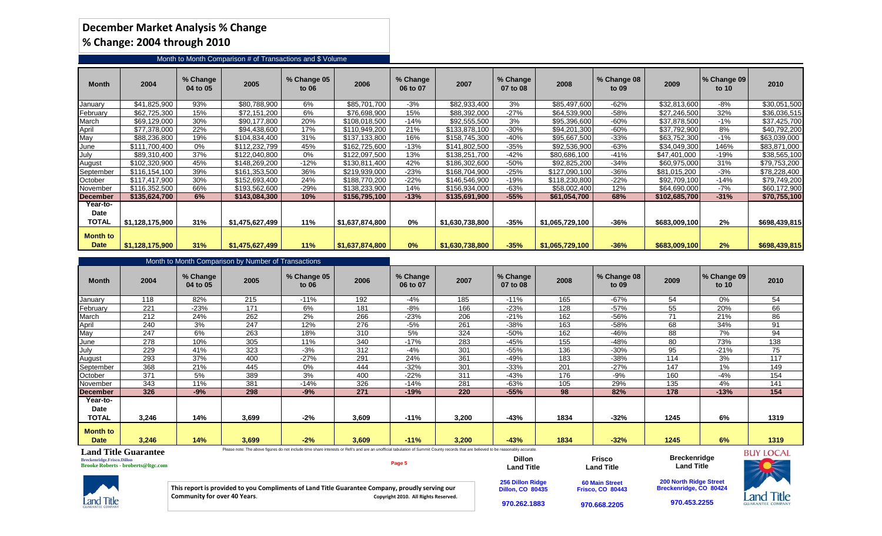### **December Market Analysis % Change % Change: 2004 through 2010**

### Month to Month Comparison # of Transactions and \$ Volume

| Month                          | 2004            | % Change<br>04 to 05 | 2005            | % Change 05<br>to 06 | 2006            | % Change<br>06 to 07 | 2007            | % Change<br>07 to 08 | 2008            | % Change 08<br>to 09 | 2009          | $\sqrt{ }$ Change 09<br>to $10$ | 2010          |
|--------------------------------|-----------------|----------------------|-----------------|----------------------|-----------------|----------------------|-----------------|----------------------|-----------------|----------------------|---------------|---------------------------------|---------------|
| January                        | \$41.825.900    | 93%                  | \$80,788,900    | 6%                   | \$85,701,700    | $-3%$                | \$82.933.400    | 3%                   | \$85,497,600    | $-62%$               | \$32.813.600  | $-8%$                           | \$30,051,500  |
| February                       | \$62,725,300    | 15%                  | \$72,151,200    | 6%                   | \$76,698,900    | 15%                  | \$88,392,000    | $-27%$               | \$64,539,900    | $-58%$               | \$27,246,500  | 32%                             | \$36,036,515  |
| March                          | \$69,129,000    | 30%                  | \$90,177,800    | 20%                  | \$108,018,500   | $-14%$               | \$92,555,500    | 3%                   | \$95,396,600    | $-60%$               | \$37,878,500  | $-1%$                           | \$37,425,700  |
| April                          | \$77,378,000    | 22%                  | \$94.438.600    | 17%                  | \$110,949,200   | 21%                  | \$133,878,100   | $-30%$               | \$94,201,300    | $-60%$               | \$37.792.900  | 8%                              | \$40,792,200  |
| May                            | \$88,236,800    | 19%                  | \$104,834,400   | 31%                  | \$137,133,800   | 16%                  | \$158,745,300   | -40%                 | \$95,667,500    | $-33%$               | \$63,752,300  | $-1%$                           | \$63,039,000  |
| June                           | \$111.700.400   | 0%                   | \$112,232,799   | 45%                  | \$162,725,600   | $-13%$               | \$141,802,500   | $-35%$               | \$92,536,900    | $-63%$               | \$34,049,300  | 146%                            | \$83,871,000  |
| July                           | \$89,310,400    | 37%                  | \$122,040,800   | 0%                   | \$122,097,500   | 13%                  | \$138,251,700   | $-42%$               | \$80,686,100    | $-41%$               | \$47,401,000  | -19%                            | \$38,565,100  |
| August                         | \$102,320,900   | 45%                  | \$148,269,200   | $-12%$               | \$130,811,400   | 42%                  | \$186,302,600   | -50%                 | \$92,825,200    | $-34%$               | \$60,975,000  | 31%                             | \$79,753,200  |
| September                      | \$116.154.100   | 39%                  | \$161,353,500   | 36%                  | \$219.939.000   | $-23%$               | \$168,704,900   | $-25%$               | \$127,090,100   | $-36%$               | \$81.015.200  | $-3%$                           | \$78,228,400  |
| October                        | \$117,417,900   | 30%                  | \$152,693,400   | 24%                  | \$188,770,200   | $-22%$               | \$146,546,900   | $-19%$               | \$118,230,800   | $-22%$               | \$92,709,100  | -14%                            | \$79,749,200  |
| November                       | \$116,352,500   | 66%                  | \$193,562,600   | $-29%$               | \$138,233,900   | 14%                  | \$156.934.000   | -63%                 | \$58,002,400    | 12%                  | \$64,690,000  | $-7%$                           | \$60,172,900  |
| <b>December</b>                | \$135,624,700   | 6%                   | \$143,084,300   | 10%                  | \$156,795,100   | $-13%$               | \$135,691,900   | $-55%$               | \$61,054,700    | 68%                  | \$102,685,700 | $-31%$                          | \$70,755,100  |
| Year-to-                       |                 |                      |                 |                      |                 |                      |                 |                      |                 |                      |               |                                 |               |
| Date                           |                 |                      |                 |                      |                 |                      |                 |                      |                 |                      |               |                                 |               |
| <b>TOTAL</b>                   | \$1,128,175,900 | 31%                  | \$1,475,627,499 | 11%                  | 51,637,874,800  | 0%                   | \$1,630,738,800 | $-35%$               | \$1,065,729,100 | $-36%$               | \$683,009,100 | 2%                              | \$698,439,815 |
| <b>Month to</b><br><b>Date</b> | \$1,128,175,900 | 31%                  | \$1,475,627,499 | 11%                  | \$1,637,874,800 | 0%                   | \$1,630,738,800 | $-35%$               | \$1,065,729,100 | $-36%$               | \$683,009,100 | 2%                              | \$698,439,815 |

### Month to Month Comparison by Number of Transactions

|                                  | month to month companion by reamout of mandaotions |                      |       |                                                                                                                                                                                     |       |                      |       |                      |      |                      |       |                      |                  |
|----------------------------------|----------------------------------------------------|----------------------|-------|-------------------------------------------------------------------------------------------------------------------------------------------------------------------------------------|-------|----------------------|-------|----------------------|------|----------------------|-------|----------------------|------------------|
| <b>Month</b>                     | 2004                                               | % Change<br>04 to 05 | 2005  | % Change 05<br>to 06                                                                                                                                                                | 2006  | % Change<br>06 to 07 | 2007  | % Change<br>07 to 08 | 2008 | % Change 08<br>to 09 | 2009  | % Change 09<br>to 10 | 2010             |
| <u>January</u>                   | 118                                                | 82%                  | 215   | $-11%$                                                                                                                                                                              | 192   | -4%                  | 185   | $-11%$               | 165  | $-67%$               | 54    | 0%                   | 54               |
| February                         | 221                                                | $-23%$               | 171   | 6%                                                                                                                                                                                  | 181   | -8%                  | 166   | $-23%$               | 128  | $-57%$               | 55    | 20%                  | 66               |
| March                            | 212                                                | 24%                  | 262   | 2%                                                                                                                                                                                  | 266   | $-23%$               | 206   | $-21%$               | 162  | -56%                 | 71    | 21%                  | 86               |
| April                            | 240                                                | 3%                   | 247   | 12%                                                                                                                                                                                 | 276   | $-5%$                | 261   | $-38%$               | 163  | $-58%$               | 68    | 34%                  | 91               |
| May                              | 247                                                | 6%                   | 263   | 18%                                                                                                                                                                                 | 310   | 5%                   | 324   | $-50%$               | 162  | -46%                 | 88    | 7%                   | 94               |
| June                             | 278                                                | 10%                  | 305   | 11%                                                                                                                                                                                 | 340   | $-17%$               | 283   | $-45%$               | 155  | -48%                 | 80    | 73%                  | 138              |
| July                             | 229                                                | 41%                  | 323   | $-3%$                                                                                                                                                                               | 312   | -4%                  | 301   | $-55%$               | 136  | $-30\%$              | 95    | $-21%$               | 75               |
| August                           | 293                                                | 37%                  | 400   | $-27%$                                                                                                                                                                              | 291   | 24%                  | 361   | -49%                 | 183  | $-38%$               | 114   | 3%                   | 117              |
| September                        | 368                                                | 21%                  | 445   | 0%                                                                                                                                                                                  | 444   | $-32%$               | 301   | $-33%$               | 201  | $-27%$               | 147   | 1%                   | 149              |
| October                          | 371                                                | 5%                   | 389   | 3%                                                                                                                                                                                  | 400   | $-22%$               | 311   | $-43%$               | 176  | $-9%$                | 160   | $-4%$                | 154              |
| November                         | 343                                                | 11%                  | 381   | $-14%$                                                                                                                                                                              | 326   | $-14%$               | 281   | -63%                 | 105  | 29%                  | 135   | 4%                   | 141              |
| <b>December</b>                  | 326                                                | $-9%$                | 298   | $-9%$                                                                                                                                                                               | 271   | $-19%$               | 220   | $-55%$               | 98   | 82%                  | 178   | $-13%$               | 154              |
| Year-to-<br>Date<br><b>TOTAL</b> | 3,246                                              | 14%                  | 3,699 | $-2%$                                                                                                                                                                               | 3,609 | $-11%$               | 3,200 | $-43%$               | 1834 | $-32%$               | 1245  | 6%                   | 1319             |
| Month to<br><b>Date</b>          | 3,246                                              | 14%                  | 3,699 | $-2%$                                                                                                                                                                               | 3,609 | $-11%$               | 3,200 | $-43%$               | 1834 | $-32%$               | 1245  | 6%                   | 1319             |
|                                  | <b>Land Title Guarantee</b>                        |                      |       | Please note: The above figures do not include time share interests or Refi's and are an unofficial tabulation of Summit County records that are believed to be reasonably accurate. |       |                      |       |                      |      |                      | _ _ _ |                      | <b>BUY LOCAL</b> |

### **Land Title Guarantee**

**Breckenridge.Frisco.Dillon Brooke Roberts - broberts@ltgc.com**

#### **Page 5 This report is provided to you Compliments of Land Title Guarantee Company, proudly serving our Community for over 40 Years**. **Copyright 2010. All Rights Reserved. Dillon Land Title 256 Dillon Ridge Dillon, CO 80435 Frisco Land Title 60 Main Street Frisco, CO 80443 970.668.2205 Breckenridge 970.453.2255**



**970.262.1883**

**Land Title 200 North Ridge Street Breckenridge, CO 80424**

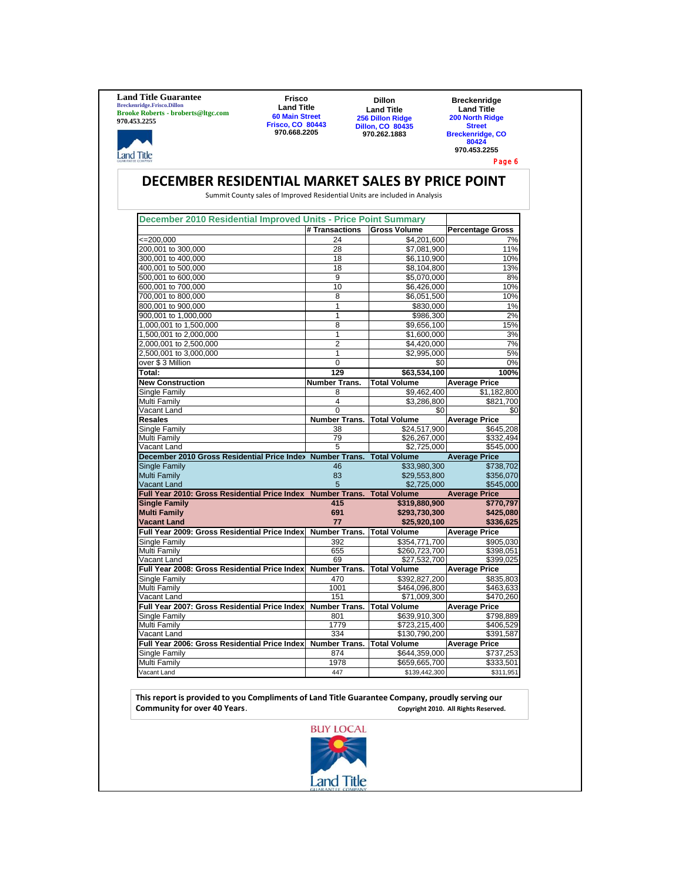**Land Title Guarantee Breckenridge.Frisco.Dillon Brooke Roberts - broberts@ltgc.com 970.453.2255**

**Land Title** 

**Frisco Land Title 60 Main Street Frisco, CO 80443 970.668.2205**

**Dillon Land Title 256 Dillon Ridge Dillon, CO 80435 970.262.1883**

**Breckenridge Land Title 200 North Ridge Street Breckenridge, CO 80424 970.453.2255**

Page 6

### **DECEMBER RESIDENTIAL MARKET SALES BY PRICE POINT**

Summit County sales of Improved Residential Units are included in Analysis

| December 2010 Residential Improved Units - Price Point Summary |                      |                                |                                    |
|----------------------------------------------------------------|----------------------|--------------------------------|------------------------------------|
|                                                                | # Transactions       | <b>Gross Volume</b>            | <b>Percentage Gross</b>            |
| $\leq$ 200,000                                                 | 24                   | \$4,201,600                    | 7%                                 |
| 200,001 to 300,000                                             | 28                   | \$7,081,900                    | 11%                                |
| 300,001 to 400,000                                             | 18                   | \$6,110,900                    | 10%                                |
| 400,001 to 500,000                                             | 18                   | \$8,104,800                    | 13%                                |
| 500,001 to 600,000                                             | 9                    | \$5,070,000                    | 8%                                 |
| 600,001 to 700,000                                             | 10                   | \$6,426,000                    | 10%                                |
| 700,001 to 800,000                                             | 8                    | \$6,051,500                    | 10%                                |
| 800,001 to 900,000                                             | 1                    | \$830,000                      | 1%                                 |
| 900,001 to 1,000,000                                           | $\mathbf{1}$         | \$986,300                      | 2%                                 |
| 1,000,001 to 1,500,000                                         | 8                    | \$9,656,100                    | 15%                                |
| 1,500,001 to 2,000,000                                         | $\overline{1}$       | \$1,600,000                    | 3%                                 |
| 2,000,001 to 2,500,000                                         | $\overline{2}$       | \$4,420,000                    | 7%                                 |
| 2,500,001 to 3,000,000                                         | 1                    | \$2,995,000                    | 5%                                 |
| over \$3 Million                                               | $\Omega$             | \$0                            | 0%                                 |
| Total:                                                         | 129                  | \$63,534,100                   | 100%                               |
| <b>New Construction</b>                                        | <b>Number Trans.</b> | <b>Total Volume</b>            | <b>Average Price</b>               |
| Single Family                                                  | 8                    | \$9,462,400                    | \$1,182,800                        |
| Multi Family                                                   | 4                    |                                | \$821.700                          |
| Vacant Land                                                    | $\Omega$             | \$3,286,800<br>\$0             | \$0                                |
| <b>Resales</b>                                                 | <b>Number Trans.</b> | <b>Total Volume</b>            | <b>Average Price</b>               |
| Single Family                                                  | 38                   | \$24,517,900                   | \$645,208                          |
| Multi Family                                                   | 79                   | \$26,267,000                   | \$332,494                          |
| Vacant Land                                                    | 5                    | \$2,725,000                    | \$545,000                          |
| December 2010 Gross Residential Price Index Number Trans.      |                      | <b>Total Volume</b>            | <b>Average Price</b>               |
| Single Family                                                  | 46                   | \$33,980,300                   | \$738,702                          |
| <b>Multi Family</b>                                            | 83                   | \$29,553,800                   | \$356,070                          |
| <b>Vacant Land</b>                                             | 5                    | \$2,725,000                    | \$545,000                          |
| Full Year 2010: Gross Residential Price Index Number Trans.    |                      | <b>Total Volume</b>            | <b>Average Price</b>               |
| <b>Single Family</b>                                           | 415                  | \$319,880,900                  | \$770,797                          |
| <b>Multi Family</b>                                            | 691                  | \$293,730,300                  | \$425,080                          |
| <b>Vacant Land</b>                                             | 77                   | \$25,920,100                   | \$336.625                          |
| Full Year 2009: Gross Residential Price Index                  | Number Trans.        | <b>Total Volume</b>            | <b>Average Price</b>               |
| Single Family                                                  | 392                  | \$354,771,700                  | \$905,030                          |
| Multi Family                                                   | 655                  | \$260,723,700                  | \$398,051                          |
| Vacant Land                                                    | 69                   | \$27,532,700                   | \$399,025                          |
| Full Year 2008: Gross Residential Price Index                  | Number Trans.        | <b>Total Volume</b>            | <b>Average Price</b>               |
| Single Family                                                  | 470                  | \$392,827,200                  | \$835,803                          |
| Multi Family                                                   | 1001                 | \$464,096,800                  | \$463,633                          |
| Vacant Land                                                    | 151                  | \$71,009,300                   | \$470,260                          |
| Full Year 2007: Gross Residential Price Index                  | <b>Number Trans.</b> | <b>Total Volume</b>            | <b>Average Price</b>               |
| Single Family                                                  | 801                  | \$639,910,300                  | \$798,889                          |
| Multi Family                                                   | 1779                 | \$723,215,400                  | \$406,529                          |
| Vacant Land                                                    | 334                  | \$130,790,200                  | \$391,587                          |
| Full Year 2006: Gross Residential Price Index                  | Number Trans.        | <b>Total Volume</b>            | <b>Average Price</b>               |
| <b>Single Family</b>                                           | 874                  | \$644,359,000                  | \$737,253                          |
|                                                                |                      |                                |                                    |
|                                                                |                      |                                |                                    |
| Multi Family<br>Vacant Land                                    | 1978<br>447          | \$659,665,700<br>\$139,442,300 | $\overline{$}333,501$<br>\$311,951 |

**This report is provided to you Compliments of Land Title Guarantee Company, proudly serving our Community for over 40 Years. Community for over 40 Years. Copyright 2010.** All Rights Reserved.

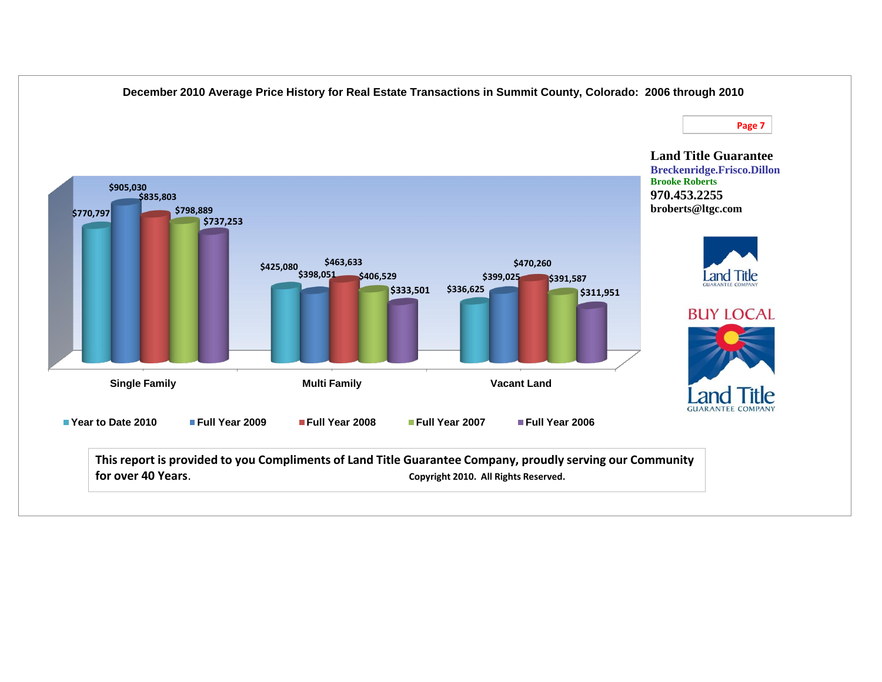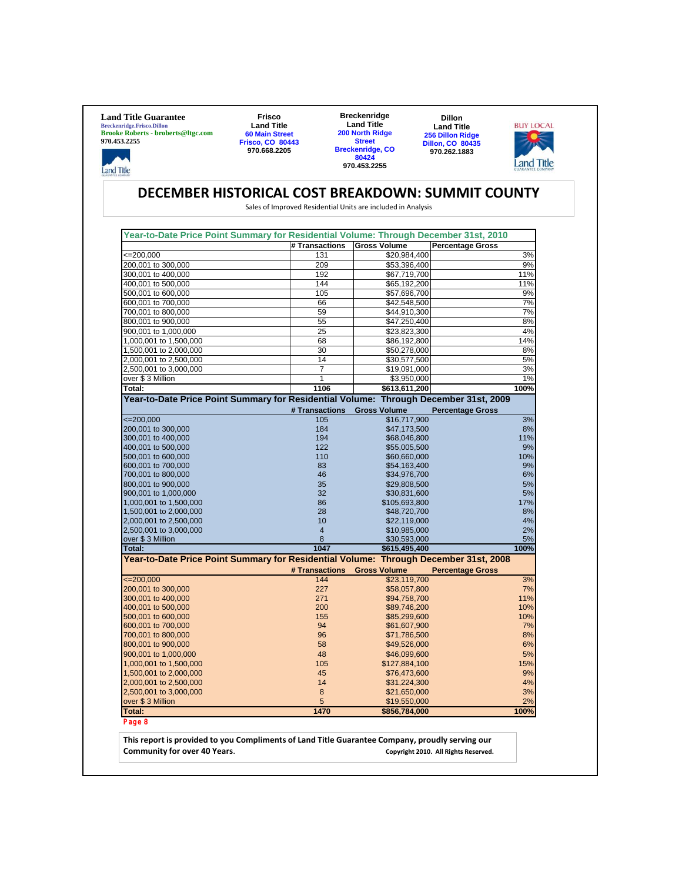| <b>Land Title Guarantee</b><br><b>Breckenridge.Frisco.Dillon</b><br><b>Brooke Roberts - broberts@ltgc.com</b><br>970.453.2255 | <b>Frisco</b><br><b>Land Title</b><br><b>60 Main Street</b><br><b>Frisco, CO 80443</b> |                       | <b>Breckenridge</b><br><b>Land Title</b><br>200 North Ridge<br><b>Street</b> | <b>Dillon</b><br><b>Land Title</b><br><b>256 Dillon Ridge</b><br><b>Dillon, CO 80435</b> | <b>BUY LOCAL</b> |
|-------------------------------------------------------------------------------------------------------------------------------|----------------------------------------------------------------------------------------|-----------------------|------------------------------------------------------------------------------|------------------------------------------------------------------------------------------|------------------|
| <b>Land Title</b>                                                                                                             | 970.668.2205                                                                           |                       | <b>Breckenridge, CO</b><br>80424<br>970.453.2255                             | 970.262.1883                                                                             | Land Title       |
| DECEMBER HISTORICAL COST BREAKDOWN: SUMMIT COUNTY                                                                             |                                                                                        |                       | Sales of Improved Residential Units are included in Analysis                 |                                                                                          |                  |
| Year-to-Date Price Point Summary for Residential Volume: Through December 31st, 2010                                          |                                                                                        |                       |                                                                              |                                                                                          |                  |
| $=200,000$                                                                                                                    |                                                                                        | # Transactions<br>131 | <b>Gross Volume</b><br>\$20,984,400                                          | <b>Percentage Gross</b>                                                                  | 3%               |
| 200,001 to 300,000                                                                                                            |                                                                                        | 209                   | \$53,396,400                                                                 |                                                                                          | 9%               |
| 300,001 to 400,000                                                                                                            |                                                                                        | 192                   | \$67,719,700                                                                 |                                                                                          | 11%              |
| 400,001 to 500,000                                                                                                            |                                                                                        | 144                   | \$65,192,200                                                                 |                                                                                          | 11%              |
| 500,001 to 600,000                                                                                                            |                                                                                        | 105                   | \$57,696,700                                                                 |                                                                                          | 9%               |
| 600,001 to 700,000                                                                                                            |                                                                                        | 66                    | \$42,548,500                                                                 |                                                                                          | 7%               |
| 700,001 to 800,000<br>800,001 to 900,000                                                                                      |                                                                                        | 59<br>55              | \$44,910,300<br>\$47,250,400                                                 |                                                                                          | 7%<br>8%         |
| 900,001 to 1,000,000                                                                                                          |                                                                                        | 25                    | \$23,823,300                                                                 |                                                                                          | 4%               |
| 1,000,001 to 1,500,000                                                                                                        |                                                                                        | 68                    | \$86,192,800                                                                 |                                                                                          | 14%              |
| 1,500,001 to 2,000,000                                                                                                        |                                                                                        | 30                    | \$50,278,000                                                                 |                                                                                          | 8%               |
| 2,000,001 to 2,500,000                                                                                                        |                                                                                        | 14                    | \$30,577,500                                                                 |                                                                                          | 5%               |
| 2,500,001 to 3,000,000<br>over \$3 Million                                                                                    |                                                                                        | $\overline{7}$<br>1   | \$19,091,000                                                                 |                                                                                          | 3%               |
| Total:                                                                                                                        |                                                                                        | 1106                  | \$3,950,000<br>\$613,611,200                                                 |                                                                                          | 1%<br>100%       |
| Year-to-Date Price Point Summary for Residential Volume: Through December 31st, 2009                                          |                                                                                        |                       |                                                                              |                                                                                          |                  |
|                                                                                                                               |                                                                                        | # Transactions        | <b>Gross Volume</b>                                                          | <b>Percentage Gross</b>                                                                  |                  |
| $\leq$ 200,000                                                                                                                |                                                                                        | 105                   | \$16,717,900                                                                 |                                                                                          | 3%               |
| 200,001 to 300,000<br>300,001 to 400,000                                                                                      |                                                                                        | 184<br>194            | \$47,173,500<br>\$68,046,800                                                 |                                                                                          | 8%<br>11%        |
| 400,001 to 500,000                                                                                                            |                                                                                        | 122                   | \$55,005,500                                                                 |                                                                                          | 9%               |
| 500,001 to 600,000                                                                                                            |                                                                                        | 110                   | \$60,660,000                                                                 |                                                                                          | 10%              |
| 600,001 to 700,000                                                                                                            |                                                                                        | 83                    | \$54,163,400                                                                 |                                                                                          | 9%               |
| 700,001 to 800,000                                                                                                            |                                                                                        | 46                    | \$34,976,700                                                                 |                                                                                          | 6%               |
| 800,001 to 900,000<br>900,001 to 1,000,000                                                                                    |                                                                                        | 35<br>32              | \$29,808,500<br>\$30,831,600                                                 |                                                                                          | 5%<br>5%         |
| 1,000,001 to 1,500,000                                                                                                        |                                                                                        | 86                    | \$105,693,800                                                                |                                                                                          | 17%              |
| 1,500,001 to 2,000,000                                                                                                        |                                                                                        | 28                    | \$48,720,700                                                                 |                                                                                          | 8%               |
| 2,000,001 to 2,500,000                                                                                                        |                                                                                        | 10                    | \$22,119,000                                                                 |                                                                                          | 4%               |
| 2,500,001 to 3,000,000<br>over \$3 Million                                                                                    |                                                                                        | $\overline{4}$<br>8   | \$10,985,000<br>\$30,593,000                                                 |                                                                                          | 2%<br>5%         |
| Total:                                                                                                                        |                                                                                        | 1047                  | \$615,495,400                                                                |                                                                                          | 100%             |
| Year-to-Date Price Point Summary for Residential Volume: Through December 31st, 2008                                          |                                                                                        | # Transactions        | <b>Gross Volume</b>                                                          | <b>Percentage Gross</b>                                                                  |                  |
| $\leq 200,000$                                                                                                                |                                                                                        | 144                   | \$23,119,700                                                                 |                                                                                          | 3%               |
| 200,001 to 300,000                                                                                                            |                                                                                        | 227                   | \$58,057,800                                                                 |                                                                                          | 7%               |
| 300,001 to 400,000                                                                                                            |                                                                                        | 271                   | \$94,758,700                                                                 |                                                                                          | 11%              |
| 400,001 to 500,000<br>500,001 to 600,000                                                                                      |                                                                                        | 200<br>155            | \$89,746,200<br>\$85,299,600                                                 |                                                                                          | 10%<br>10%       |
| 600,001 to 700,000                                                                                                            |                                                                                        | 94                    | \$61,607,900                                                                 |                                                                                          | 7%               |
| 700,001 to 800,000                                                                                                            |                                                                                        | 96                    | \$71,786,500                                                                 |                                                                                          | 8%               |
| 800,001 to 900,000                                                                                                            |                                                                                        | 58                    | \$49,526,000                                                                 |                                                                                          | 6%               |
| 900,001 to 1,000,000                                                                                                          |                                                                                        | 48                    | \$46,099,600                                                                 |                                                                                          | 5%               |
| 1,000,001 to 1,500,000                                                                                                        |                                                                                        | 105                   | \$127,884,100                                                                |                                                                                          | 15%              |
| 1,500,001 to 2,000,000<br>2,000,001 to 2,500,000                                                                              |                                                                                        | 45<br>14              | \$76,473,600<br>\$31,224,300                                                 |                                                                                          | 9%<br>4%         |
| 2,500,001 to 3,000,000                                                                                                        |                                                                                        | 8                     | \$21,650,000                                                                 |                                                                                          | 3%               |
| over \$3 Million                                                                                                              |                                                                                        | 5                     | \$19,550,000                                                                 |                                                                                          | 2%               |
| <b>Total:</b>                                                                                                                 |                                                                                        | 1470                  | \$856,784,000                                                                |                                                                                          | 100%             |
|                                                                                                                               |                                                                                        |                       |                                                                              |                                                                                          |                  |
| Page 8                                                                                                                        |                                                                                        |                       |                                                                              |                                                                                          |                  |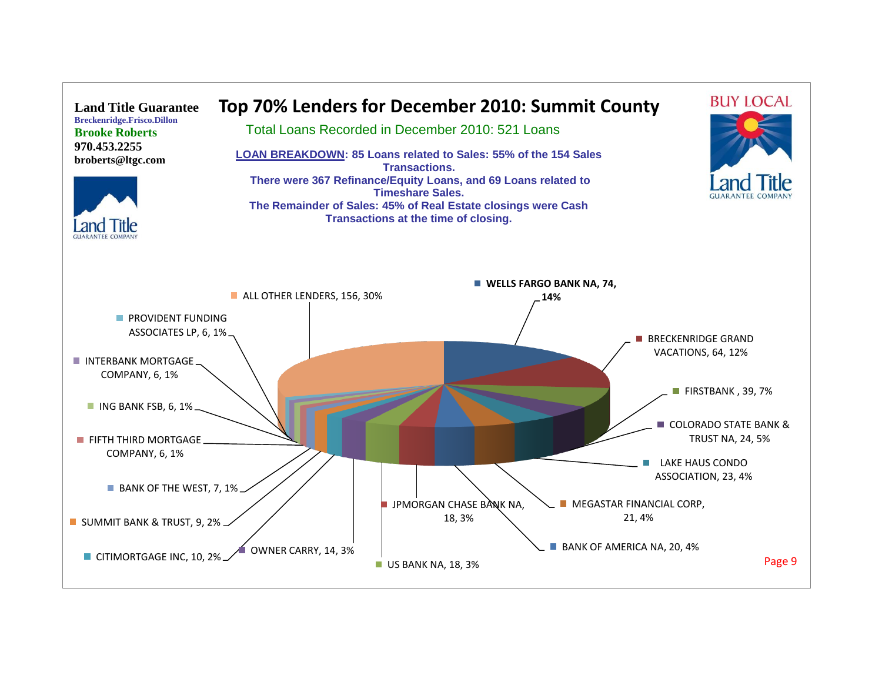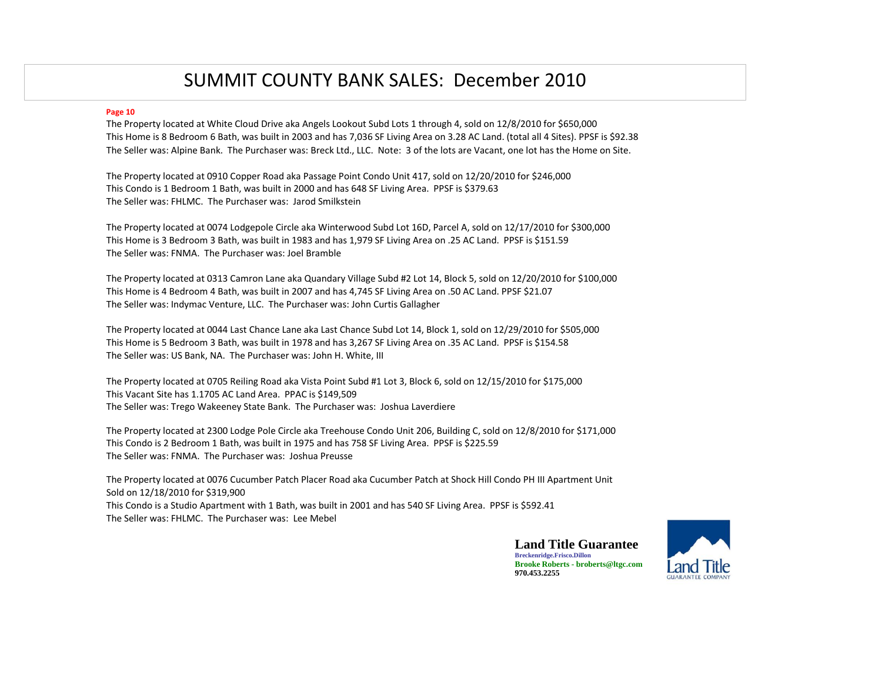## SUMMIT COUNTY BANK SALES: December 2010

### **Page 10**

The Property located at White Cloud Drive aka Angels Lookout Subd Lots 1 through 4, sold on 12/8/2010 for \$650,000 This Home is 8 Bedroom 6 Bath, was built in 2003 and has 7,036 SF Living Area on 3.28 AC Land. (total all 4 Sites). PPSF is \$92.38 The Seller was: Alpine Bank. The Purchaser was: Breck Ltd., LLC. Note: 3 of the lots are Vacant, one lot has the Home on Site.

The Property located at 0910 Copper Road aka Passage Point Condo Unit 417, sold on 12/20/2010 for \$246,000 This Condo is 1 Bedroom 1 Bath, was built in 2000 and has 648 SF Living Area. PPSF is \$379.63 The Seller was: FHLMC. The Purchaser was: Jarod Smilkstein

The Property located at 0074 Lodgepole Circle aka Winterwood Subd Lot 16D, Parcel A, sold on 12/17/2010 for \$300,000 This Home is 3 Bedroom 3 Bath, was built in 1983 and has 1,979 SF Living Area on .25 AC Land. PPSF is \$151.59 The Seller was: FNMA. The Purchaser was: Joel Bramble

The Property located at 0313 Camron Lane aka Quandary Village Subd #2 Lot 14, Block 5, sold on 12/20/2010 for \$100,000 This Home is 4 Bedroom 4 Bath, was built in 2007 and has 4,745 SF Living Area on .50 AC Land. PPSF \$21.07 The Seller was: Indymac Venture, LLC. The Purchaser was: John Curtis Gallagher

The Property located at 0044 Last Chance Lane aka Last Chance Subd Lot 14, Block 1, sold on 12/29/2010 for \$505,000 This Home is 5 Bedroom 3 Bath, was built in 1978 and has 3,267 SF Living Area on .35 AC Land. PPSF is \$154.58 The Seller was: US Bank, NA. The Purchaser was: John H. White, III

The Property located at 0705 Reiling Road aka Vista Point Subd #1 Lot 3, Block 6, sold on 12/15/2010 for \$175,000 This Vacant Site has 1.1705 AC Land Area. PPAC is \$149,509 The Seller was: Trego Wakeeney State Bank. The Purchaser was: Joshua Laverdiere

The Property located at 2300 Lodge Pole Circle aka Treehouse Condo Unit 206, Building C, sold on 12/8/2010 for \$171,000 This Condo is 2 Bedroom 1 Bath, was built in 1975 and has 758 SF Living Area. PPSF is \$225.59 The Seller was: FNMA. The Purchaser was: Joshua Preusse

The Property located at 0076 Cucumber Patch Placer Road aka Cucumber Patch at Shock Hill Condo PH III Apartment Unit Sold on 12/18/2010 for \$319,900 This Condo is a Studio Apartment with 1 Bath, was built in 2001 and has 540 SF Living Area. PPSF is \$592.41 The Seller was: FHLMC. The Purchaser was: Lee Mebel

> **Land Title Guarantee Breckenridge.Frisco.Dillon Brooke Roberts - broberts@ltgc.com 970.453.2255**

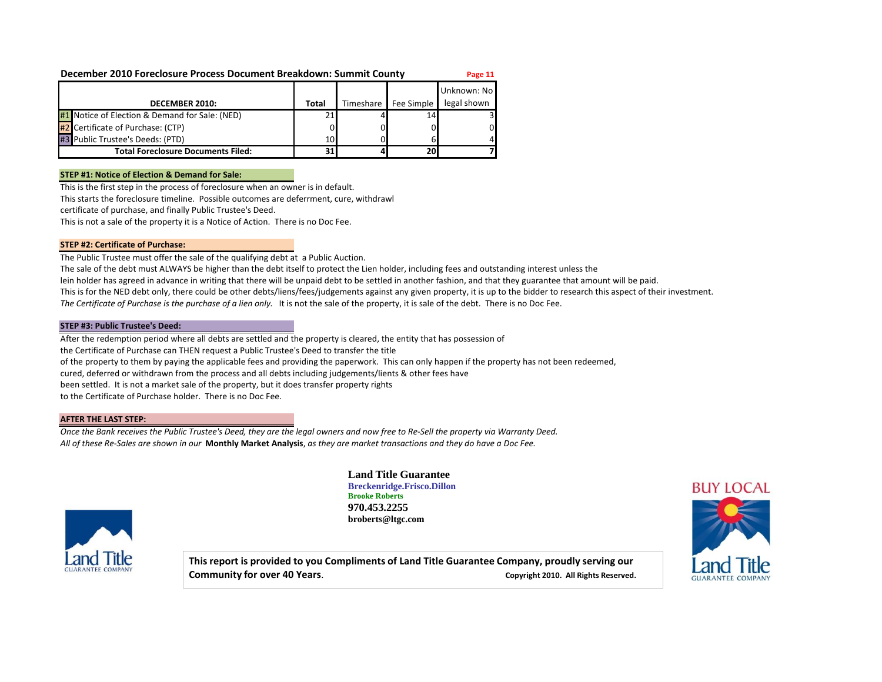### **December 2010 Foreclosure Process Document Breakdown: Summit County <b>Page 11**

|                                                |       |           |            | Unknown: Nol |
|------------------------------------------------|-------|-----------|------------|--------------|
| DECEMBER 2010:                                 | Total | Timeshare | Fee Simple | legal shown  |
| #1 Notice of Election & Demand for Sale: (NED) | 21    |           | 14         |              |
| #2 Certificate of Purchase: (CTP)              |       |           |            | 01           |
| #3 Public Trustee's Deeds: (PTD)               | 10    |           | 6          | 4            |
| <b>Total Foreclosure Documents Filed:</b>      | 31    |           | <b>20</b>  |              |

### **STEP #1: Notice of Election & Demand for Sale:**

This is the first step in the process of foreclosure when an owner is in default.

This starts the foreclosure timeline. Possible outcomes are deferrment, cure, withdrawl

certificate of purchase, and finally Public Trustee's Deed.

This is not a sale of the property it is a Notice of Action. There is no Doc Fee.

### **STEP #2: Certificate of Purchase:**

The Public Trustee must offer the sale of the qualifying debt at a Public Auction.

The sale of the debt must ALWAYS be higher than the debt itself to protect the Lien holder, including fees and outstanding interest unless the lein holder has agreed in advance in writing that there will be unpaid debt to be settled in another fashion, and that they guarantee that amount will be paid.

This is for the NED debt only, there could be other debts/liens/fees/judgements against any given property, it is up to the bidder to research this aspect of their investment.

The Certificate of Purchase is the purchase of a lien only. It is not the sale of the property, it is sale of the debt. There is no Doc Fee.

#### **STEP #3: Public Trustee's Deed:**

After the redemption period where all debts are settled and the property is cleared, the entity that has possession of the Certificate of Purchase can THEN request a Public Trustee's Deed to transfer the title of the property to them by paying the applicable fees and providing the paperwork. This can only happen if the property has not been redeemed, cured, deferred or withdrawn from the process and all debts including judgements/lients & other fees have been settled. It is not a market sale of the property, but it does transfer property rights to the Certificate of Purchase holder. There is no Doc Fee.

### **AFTER THE LAST STEP:**

*Once the Bank receives the Public Trustee's Deed, they are the legal owners and now free to Re-Sell the property via Warranty Deed. All of these Re-Sales are shown in our* **Monthly Market Analysis**, *as they are market transactions and they do have a Doc Fee.*



**Land Title Guarantee Breckenridge.Frisco.Dillon Brooke Roberts 970.453.2255 broberts@ltgc.com**

**This report is provided to you Compliments of Land Title Guarantee Company, proudly serving our Community for over 40 Years. Community for over 40 Years. Copyright 2010.** All Rights Reserved.

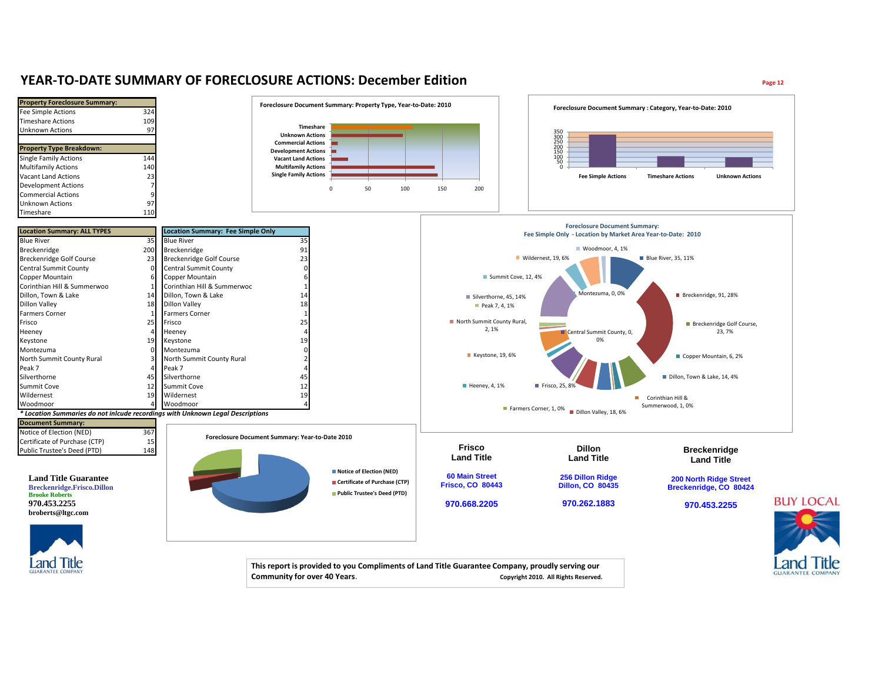### **YEAR-TO-DATE SUMMARY OF FORECLOSURE ACTIONS: December Edition Page 12**